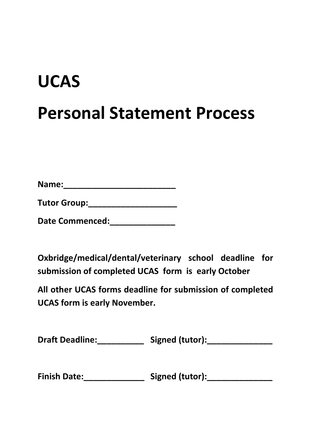# **UCAS Personal Statement Process**

| Name: |  |  |  |
|-------|--|--|--|
|       |  |  |  |

| <b>Tutor Group:</b> |
|---------------------|
|---------------------|

**Date Commenced:\_\_\_\_\_\_\_\_\_\_\_\_\_\_**

**Oxbridge/medical/dental/veterinary school deadline for submission of completed UCAS form is early October**

**All other UCAS forms deadline for submission of completed UCAS form is early November.**

| <b>Draft Deadline:</b> | Signed (tutor): |
|------------------------|-----------------|
|------------------------|-----------------|

| <b>Finish Date:</b> | Signed (tutor): |
|---------------------|-----------------|
|---------------------|-----------------|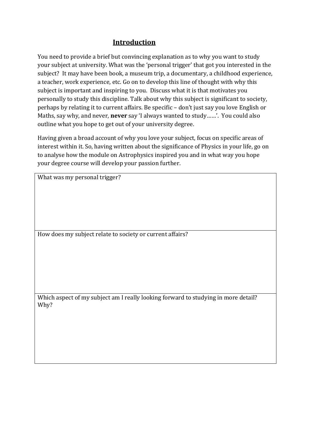## **Introduction**

You need to provide a brief but convincing explanation as to why you want to study your subject at university. What was the 'personal trigger' that got you interested in the subject? It may have been book, a museum trip, a documentary, a childhood experience, a teacher, work experience, etc. Go on to develop this line of thought with why this subject is important and inspiring to you. Discuss what it is that motivates you personally to study this discipline. Talk about why this subject is significant to society, perhaps by relating it to current affairs. Be specific – don't just say you love English or Maths, say why, and never, **never** say 'I always wanted to study……'. You could also outline what you hope to get out of your university degree.

Having given a broad account of why you love your subject, focus on specific areas of interest within it. So, having written about the significance of Physics in your life, go on to analyse how the module on Astrophysics inspired you and in what way you hope your degree course will develop your passion further.

What was my personal trigger?

How does my subject relate to society or current affairs?

Which aspect of my subject am I really looking forward to studying in more detail? Why?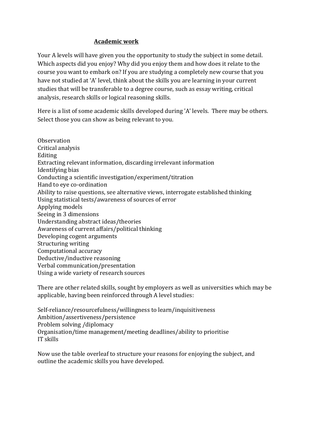#### **Academic work**

Your A levels will have given you the opportunity to study the subject in some detail. Which aspects did you enjoy? Why did you enjoy them and how does it relate to the course you want to embark on? If you are studying a completely new course that you have not studied at 'A' level, think about the skills you are learning in your current studies that will be transferable to a degree course, such as essay writing, critical analysis, research skills or logical reasoning skills.

Here is a list of some academic skills developed during 'A' levels. There may be others. Select those you can show as being relevant to you.

**Observation** Critical analysis Editing Extracting relevant information, discarding irrelevant information Identifying bias Conducting a scientific investigation/experiment/titration Hand to eye co-ordination Ability to raise questions, see alternative views, interrogate established thinking Using statistical tests/awareness of sources of error Applying models Seeing in 3 dimensions Understanding abstract ideas/theories Awareness of current affairs/political thinking Developing cogent arguments Structuring writing Computational accuracy Deductive/inductive reasoning Verbal communication/presentation Using a wide variety of research sources

There are other related skills, sought by employers as well as universities which may be applicable, having been reinforced through A level studies:

Self-reliance/resourcefulness/willingness to learn/inquisitiveness Ambition/assertiveness/persistence Problem solving /diplomacy Organisation/time management/meeting deadlines/ability to prioritise IT skills

Now use the table overleaf to structure your reasons for enjoying the subject, and outline the academic skills you have developed.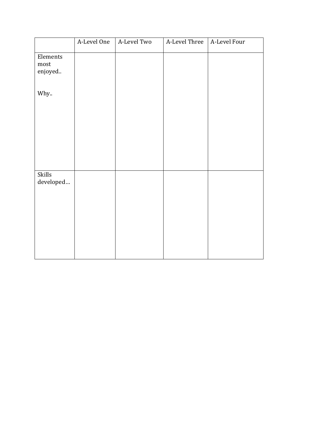|                             | A-Level One | A-Level Two | A-Level Three | A-Level Four |
|-----------------------------|-------------|-------------|---------------|--------------|
| Elements<br>most<br>enjoyed |             |             |               |              |
| Why                         |             |             |               |              |
|                             |             |             |               |              |
| Skills<br>developed         |             |             |               |              |
|                             |             |             |               |              |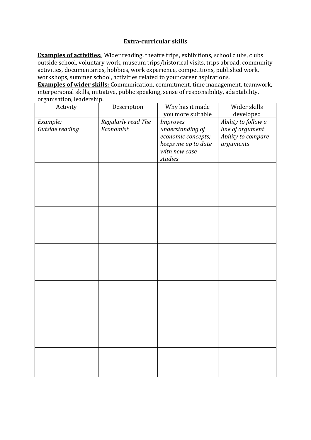#### **Extra-curricular skills**

**Examples of activities:** Wider reading, theatre trips, exhibitions, school clubs, clubs outside school, voluntary work, museum trips/historical visits, trips abroad, community activities, documentaries, hobbies, work experience, competitions, published work, workshops, summer school, activities related to your career aspirations.

**Examples of wider skills:** Communication, commitment, time management, teamwork, interpersonal skills, initiative, public speaking, sense of responsibility, adaptability, organisation, leadership.

| Activity        | Description        | Why has it made     | Wider skills        |
|-----------------|--------------------|---------------------|---------------------|
|                 |                    | you more suitable   | developed           |
| Example:        | Regularly read The | <b>Improves</b>     | Ability to follow a |
| Outside reading | Economist          | understanding of    | line of argument    |
|                 |                    | economic concepts;  | Ability to compare  |
|                 |                    | keeps me up to date | arguments           |
|                 |                    | with new case       |                     |
|                 |                    | studies             |                     |
|                 |                    |                     |                     |
|                 |                    |                     |                     |
|                 |                    |                     |                     |
|                 |                    |                     |                     |
|                 |                    |                     |                     |
|                 |                    |                     |                     |
|                 |                    |                     |                     |
|                 |                    |                     |                     |
|                 |                    |                     |                     |
|                 |                    |                     |                     |
|                 |                    |                     |                     |
|                 |                    |                     |                     |
|                 |                    |                     |                     |
|                 |                    |                     |                     |
|                 |                    |                     |                     |
|                 |                    |                     |                     |
|                 |                    |                     |                     |
|                 |                    |                     |                     |
|                 |                    |                     |                     |
|                 |                    |                     |                     |
|                 |                    |                     |                     |
|                 |                    |                     |                     |
|                 |                    |                     |                     |
|                 |                    |                     |                     |
|                 |                    |                     |                     |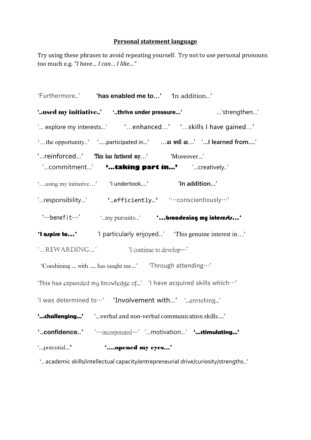## **Personal statement language**

Try using these phrases to avoid repeating yourself. Try not to use personal pronouns too much e.g. *"I have… I can… I like…"*

| 'Furthermore' <b>'has enabled me to'</b> In addition'                                              |
|----------------------------------------------------------------------------------------------------|
| 'used my initiative' 'thrive under pressure'  'strengthen'                                         |
| ' explore my interests' [10] enhanced' [10] skills I have gained'                                  |
| 'the opportunity' 'participated in' as well as' '! learned from'                                   |
| 'reinforced' This has furthered my' 'Moreover'<br>"commitment' • •  taking part in' • "creatively' |
| 'using my initiative' 'I undertook' <b>In addition'</b>                                            |
| 'responsibility' "efficiently' 'conscientiously'                                                   |
| " ---benefit -- ' my pursuits' broadening my intererty"                                            |
| 'I arpire to' This genuine interest in' This genuine interest in'                                  |
| 'REWARDING'  'I continue to develop'                                                               |
| 'Combining  with  has taught me' 'Through attending'                                               |
| "This has expanded my knowledge of" 'I have acquired skills which"                                 |
| 'I was determined to' 'Involvement with' ' gnriching'                                              |
| "challenging" "verbal and non-verbal communication skills"                                         |
|                                                                                                    |
| "potential"<br>'opened my eyes'                                                                    |

'.. academic skills/intellectual capacity/entrepreneurial drive/curiosity/strengths..'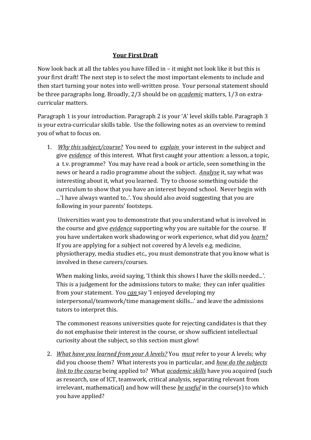### **Your First Draft**

Now look back at all the tables you have filled in – it might not look like it but this is your first draft! The next step is to select the most important elements to include and then start turning your notes into well-written prose. Your personal statement should be three paragraphs long. Broadly, 2/3 should be on *academic* matters, 1/3 on extracurricular matters.

Paragraph 1 is your introduction. Paragraph 2 is your 'A' level skills table. Paragraph 3 is your extra-curricular skills table. Use the following notes as an overview to remind you of what to focus on.

1. *Why this subject/course?* You need to *explain* your interest in the subject and give *evidence* of this interest. What first caught your attention: a lesson, a topic, a t.v. programme? You may have read a book or article, seen something in the news or heard a radio programme about the subject. *Analyse* it, say what was interesting about it, what you learned. Try to choose something outside the curriculum to show that you have an interest beyond school. Never begin with ...'I have always wanted to..'. You should also avoid suggesting that you are following in your parents' footsteps.

Universities want you to demonstrate that you understand what is involved in the course and give *evidence* supporting why you are suitable for the course. If you have undertaken work shadowing or work experience, what did you *learn?* If you are applying for a subject not covered by A levels e.g. medicine, physiotherapy, media studies etc., you must demonstrate that you know what is involved in these careers/courses.

When making links, avoid saying, 'I think this shows I have the skills needed...'. This is a judgement for the admissions tutors to make; they can infer qualities from your statement. You *can* say 'I enjoyed developing my interpersonal/teamwork/time management skills...' and leave the admissions tutors to interpret this.

The commonest reasons universities quote for rejecting candidates is that they do not emphasise their interest in the course, or show sufficient intellectual curiosity about the subject, so this section must glow!

2. *What have you learned from your A levels?* You *must* refer to your A levels; why did you choose them? What interests you in particular, and *how do the subjects link to the course* being applied to? What *academic skills* have you acquired (such as research, use of ICT, teamwork, critical analysis, separating relevant from irrelevant, mathematical) and how will these *be useful* in the course(s) to which you have applied?